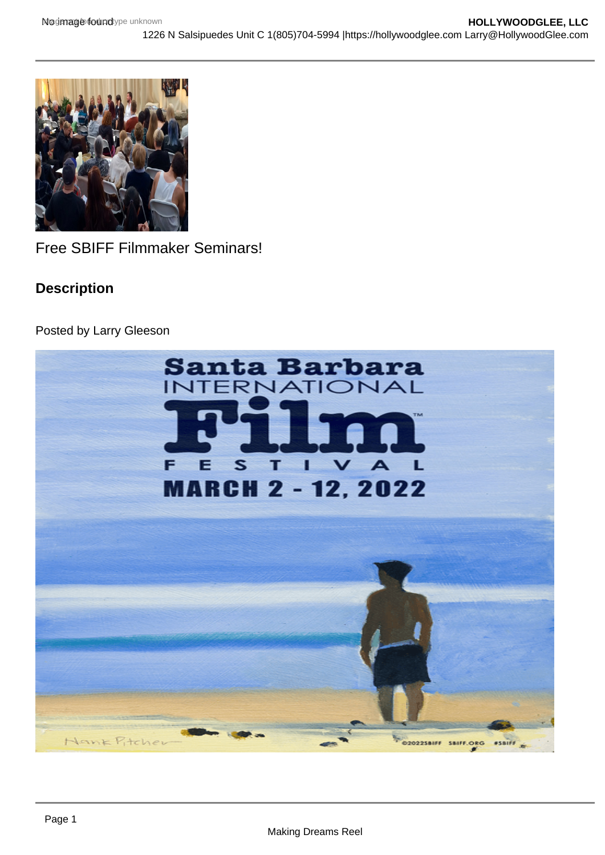Free SBIFF Filmmaker Seminars!

Description

Posted by Larry Gleeson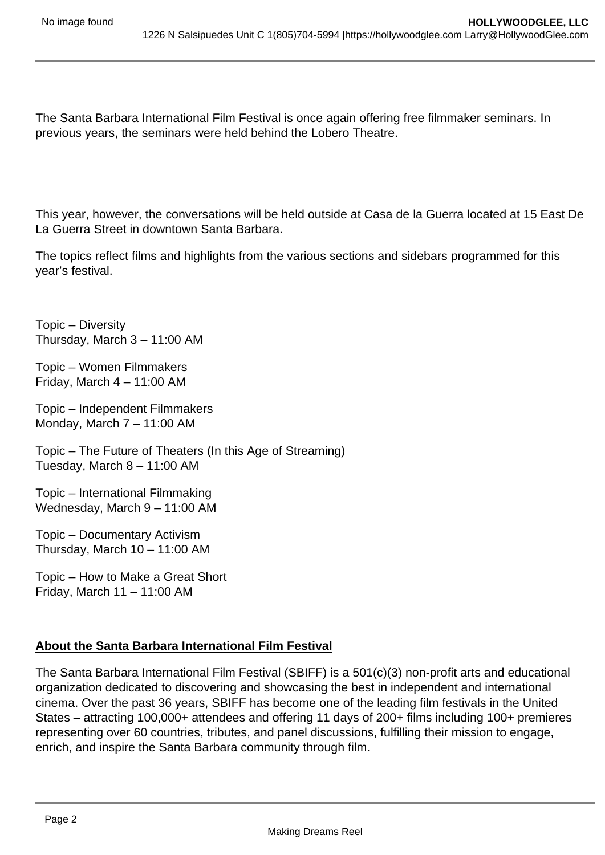The Santa Barbara International Film Festival is once again offering free filmmaker seminars. In previous years, the seminars were held behind the Lobero Theatre.

This year, however, the conversations will be held outside at Casa de la Guerra located at 15 East De La Guerra Street in downtown Santa Barbara.

The topics reflect films and highlights from the various sections and sidebars programmed for this year's festival.

Topic – Diversity Thursday, March 3 – 11:00 AM

Topic – Women Filmmakers Friday, March  $4 - 11:00$  AM

Topic – Independent Filmmakers Monday, March 7 – 11:00 AM

Topic – The Future of Theaters (In this Age of Streaming) Tuesday, March 8 – 11:00 AM

Topic – International Filmmaking Wednesday, March 9 – 11:00 AM

Topic – Documentary Activism Thursday, March  $10 - 11:00$  AM

Topic – How to Make a Great Short Friday, March 11 – 11:00 AM

## **About the Santa Barbara International Film Festival**

The Santa Barbara International Film Festival (SBIFF) is a 501(c)(3) non-profit arts and educational organization dedicated to discovering and showcasing the best in independent and international cinema. Over the past 36 years, SBIFF has become one of the leading film festivals in the United States – attracting 100,000+ attendees and offering 11 days of 200+ films including 100+ premieres representing over 60 countries, tributes, and panel discussions, fulfilling their mission to engage, enrich, and inspire the Santa Barbara community through film.